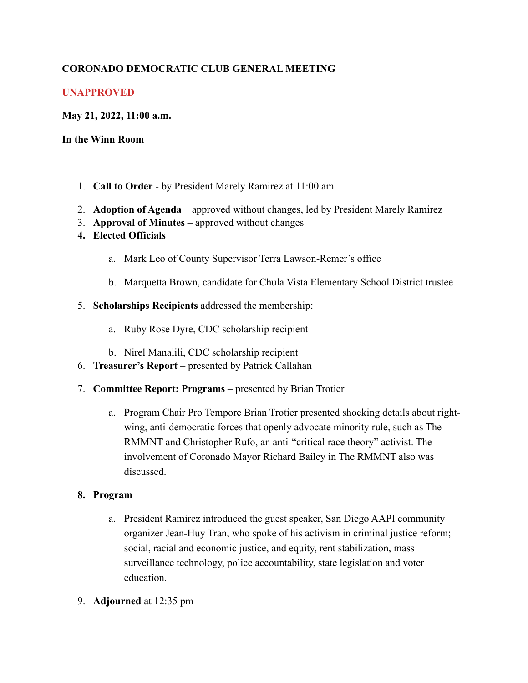# **CORONADO DEMOCRATIC CLUB GENERAL MEETING**

## **UNAPPROVED**

### **May 21, 2022, 11:00 a.m.**

#### **In the Winn Room**

- 1. **Call to Order** by President Marely Ramirez at 11:00 am
- 2. **Adoption of Agenda** approved without changes, led by President Marely Ramirez
- 3. **Approval of Minutes** approved without changes
- **4. Elected Officials** 
	- a. Mark Leo of County Supervisor Terra Lawson-Remer's office
	- b. Marquetta Brown, candidate for Chula Vista Elementary School District trustee
- 5. **Scholarships Recipients** addressed the membership:
	- a. Ruby Rose Dyre, CDC scholarship recipient
	- b. Nirel Manalili, CDC scholarship recipient
- 6. **Treasurer's Report** presented by Patrick Callahan
- 7. **Committee Report: Programs** presented by Brian Trotier
	- a. Program Chair Pro Tempore Brian Trotier presented shocking details about rightwing, anti-democratic forces that openly advocate minority rule, such as The RMMNT and Christopher Rufo, an anti-"critical race theory" activist. The involvement of Coronado Mayor Richard Bailey in The RMMNT also was discussed.

#### **8. Program**

- a. President Ramirez introduced the guest speaker, San Diego AAPI community organizer Jean-Huy Tran, who spoke of his activism in criminal justice reform; social, racial and economic justice, and equity, rent stabilization, mass surveillance technology, police accountability, state legislation and voter education.
- 9. **Adjourned** at 12:35 pm